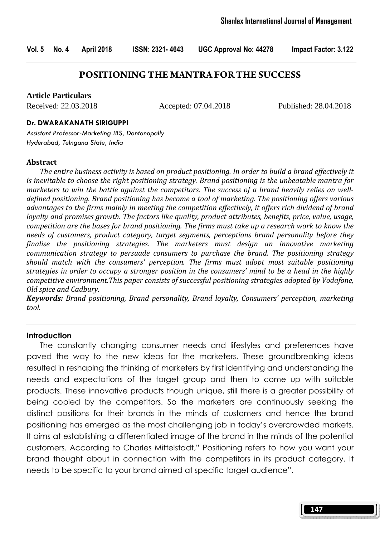Vol. 5 No. 4 April 2018 ISSN: 2321- 4643 UGC Approval No: 44278 Impact Factor: 3.122

### **POSITIONING THE MANTRA FOR THE SUCCESS**

#### **Article Particulars**

Received: 22.03.2018 Accepted: 07.04.2018 Published: 28.04.2018

#### Dr. DWARAKANATH SIRIGUPPI

Assistant Professor-Marketing IBS, Dontanapally Hyderabad, Telngana State, India

#### Abstract

 The entire business activity is based on product positioning. In order to build a brand effectively it is inevitable to choose the right positioning strategy. Brand positioning is the unbeatable mantra for marketers to win the battle against the competitors. The success of a brand heavily relies on welldefined positioning. Brand positioning has become a tool of marketing. The positioning offers various advantages to the firms mainly in meeting the competition effectively, it offers rich dividend of brand loyalty and promises growth. The factors like quality, product attributes, benefits, price, value, usage, competition are the bases for brand positioning. The firms must take up a research work to know the needs of customers, product category, target segments, perceptions brand personality before they finalise the positioning strategies. The marketers must design an innovative marketing communication strategy to persuade consumers to purchase the brand. The positioning strategy should match with the consumers' perception. The firms must adopt most suitable positioning strategies in order to occupy a stronger position in the consumers' mind to be a head in the highly competitive environment.This paper consists of successful positioning strategies adopted by Vodafone, Old spice and Cadbury.

Keywords: Brand positioning, Brand personality, Brand loyalty, Consumers' perception, marketing tool.

#### Introduction

 The constantly changing consumer needs and lifestyles and preferences have paved the way to the new ideas for the marketers. These groundbreaking ideas resulted in reshaping the thinking of marketers by first identifying and understanding the needs and expectations of the target group and then to come up with suitable products. These innovative products though unique, still there is a greater possibility of being copied by the competitors. So the marketers are continuously seeking the distinct positions for their brands in the minds of customers and hence the brand positioning has emerged as the most challenging job in today's overcrowded markets. It aims at establishing a differentiated image of the brand in the minds of the potential customers. According to Charles Mittelstadt," Positioning refers to how you want your brand thought about in connection with the competitors in its product category. It needs to be specific to your brand aimed at specific target audience".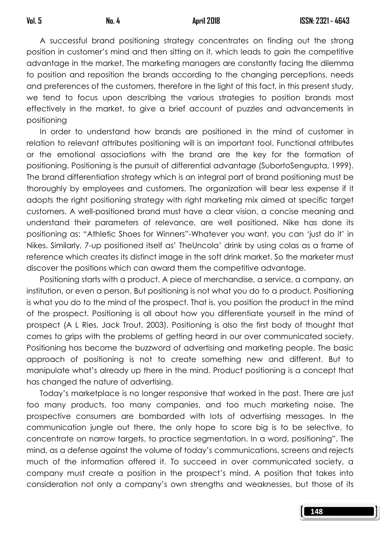148

 A successful brand positioning strategy concentrates on finding out the strong position in customer's mind and then sitting on it, which leads to gain the competitive advantage in the market. The marketing managers are constantly facing the dilemma to position and reposition the brands according to the changing perceptions, needs and preferences of the customers, therefore in the light of this fact, in this present study, we tend to focus upon describing the various strategies to position brands most effectively in the market, to give a brief account of puzzles and advancements in positioning

 In order to understand how brands are positioned in the mind of customer in relation to relevant attributes positioning will is an important tool. Functional attributes or the emotional associations with the brand are the key for the formation of positioning. Positioning is the pursuit of differential advantage (SubortoSengupta, 1999). The brand differentiation strategy which is an integral part of brand positioning must be thoroughly by employees and customers. The organization will bear less expense if it adopts the right positioning strategy with right marketing mix aimed at specific target customers. A well-positioned brand must have a clear vision, a concise meaning and understand their parameters of relevance, are well positioned. Nike has done its positioning as: "Athletic Shoes for Winners"-Whatever you want, you can 'just do it' in Nikes. Similarly, 7-up positioned itself as' TheUncola' drink by using colas as a frame of reference which creates its distinct image in the soft drink market. So the marketer must discover the positions which can award them the competitive advantage.

 Positioning starts with a product. A piece of merchandise, a service, a company, an institution, or even a person. But positioning is not what you do to a product. Positioning is what you do to the mind of the prospect. That is, you position the product in the mind of the prospect. Positioning is all about how you differentiate yourself in the mind of prospect (A L Ries, Jack Trout, 2003). Positioning is also the first body of thought that comes to grips with the problems of getting heard in our over communicated society. Positioning has become the buzzword of advertising and marketing people. The basic approach of positioning is not to create something new and different. But to manipulate what's already up there in the mind. Product positioning is a concept that has changed the nature of advertising.

 Today's marketplace is no longer responsive that worked in the past. There are just too many products, too many companies, and too much marketing noise. The prospective consumers are bombarded with lots of advertising messages. In the communication jungle out there, the only hope to score big is to be selective, to concentrate on narrow targets, to practice segmentation. In a word, positioning". The mind, as a defense against the volume of today's communications, screens and rejects much of the information offered it. To succeed in over communicated society, a company must create a position in the prospect's mind. A position that takes into consideration not only a company's own strengths and weaknesses, but those of its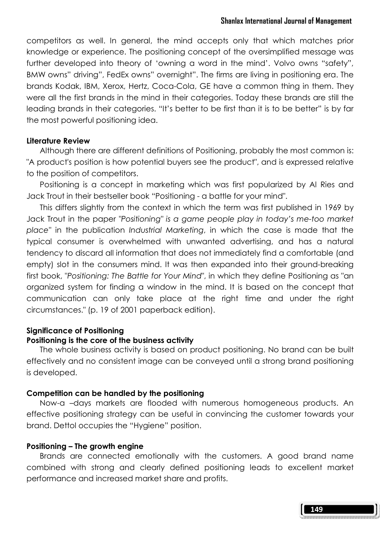competitors as well. In general, the mind accepts only that which matches prior knowledge or experience. The positioning concept of the oversimplified message was further developed into theory of 'owning a word in the mind'. Volvo owns "safety", BMW owns" driving", FedEx owns" overnight". The firms are living in positioning era. The brands Kodak, IBM, Xerox, Hertz, Coca-Cola, GE have a common thing in them. They were all the first brands in the mind in their categories. Today these brands are still the leading brands in their categories. "It's better to be first than it is to be better" is by far the most powerful positioning idea.

### Literature Review

 Although there are different definitions of Positioning, probably the most common is: "A product's position is how potential buyers see the product", and is expressed relative to the position of competitors.

 Positioning is a concept in marketing which was first popularized by Al Ries and Jack Trout in their bestseller book "Positioning - a battle for your mind".

 This differs slightly from the context in which the term was first published in 1969 by Jack Trout in the paper "Positioning" is a game people play in today's me-too market place" in the publication Industrial Marketing, in which the case is made that the typical consumer is overwhelmed with unwanted advertising, and has a natural tendency to discard all information that does not immediately find a comfortable (and empty) slot in the consumers mind. It was then expanded into their ground-breaking first book, "Positioning: The Battle for Your Mind", in which they define Positioning as "an organized system for finding a window in the mind. It is based on the concept that communication can only take place at the right time and under the right circumstances." (p. 19 of 2001 paperback edition).

### Significance of Positioning

### Positioning is the core of the business activity

 The whole business activity is based on product positioning. No brand can be built effectively and no consistent image can be conveyed until a strong brand positioning is developed.

### Competition can be handled by the positioning

 Now-a –days markets are flooded with numerous homogeneous products. An effective positioning strategy can be useful in convincing the customer towards your brand. Dettol occupies the "Hygiene" position.

### Positioning – The growth engine

 Brands are connected emotionally with the customers. A good brand name combined with strong and clearly defined positioning leads to excellent market performance and increased market share and profits.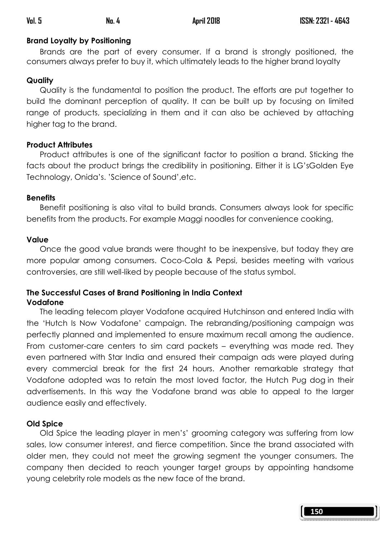# Brand Loyalty by Positioning

 Brands are the part of every consumer. If a brand is strongly positioned, the consumers always prefer to buy it, which ultimately leads to the higher brand loyalty

## Quality

 Quality is the fundamental to position the product. The efforts are put together to build the dominant perception of quality. It can be built up by focusing on limited range of products, specializing in them and it can also be achieved by attaching higher tag to the brand.

## Product Attributes

 Product attributes is one of the significant factor to position a brand. Sticking the facts about the product brings the credibility in positioning. Either it is LG'sGolden Eye Technology, Onida's. 'Science of Sound',etc.

## **Benefits**

 Benefit positioning is also vital to build brands. Consumers always look for specific benefits from the products. For example Maggi noodles for convenience cooking,

## Value

 Once the good value brands were thought to be inexpensive, but today they are more popular among consumers. Coco-Cola & Pepsi, besides meeting with various controversies, are still well-liked by people because of the status symbol.

### The Successful Cases of Brand Positioning in India Context Vodafone

 The leading telecom player Vodafone acquired Hutchinson and entered India with the 'Hutch Is Now Vodafone' campaign. The rebranding/positioning campaign was perfectly planned and implemented to ensure maximum recall among the audience. From customer-care centers to sim card packets – everything was made red. They even partnered with Star India and ensured their campaign ads were played during every commercial break for the first 24 hours. Another remarkable strategy that Vodafone adopted was to retain the most loved factor, the Hutch Pug dog in their advertisements. In this way the Vodafone brand was able to appeal to the larger audience easily and effectively.

# Old Spice

 Old Spice the leading player in men's' grooming category was suffering from low sales, low consumer interest, and fierce competition. Since the brand associated with older men, they could not meet the growing segment the younger consumers. The company then decided to reach younger target groups by appointing handsome young celebrity role models as the new face of the brand.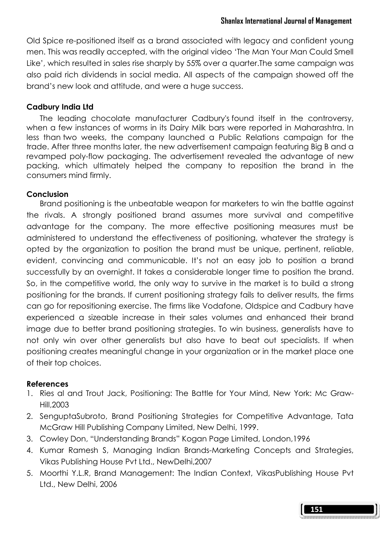Old Spice re-positioned itself as a brand associated with legacy and confident young men. This was readily accepted, with the original video 'The Man Your Man Could Smell Like', which resulted in sales rise sharply by 55% over a quarter.The same campaign was also paid rich dividends in social media. All aspects of the campaign showed off the brand's new look and attitude, and were a huge success.

### Cadbury India Ltd

 The leading chocolate manufacturer Cadbury's found itself in the controversy, when a few instances of worms in its Dairy Milk bars were reported in Maharashtra. In less than two weeks, the company launched a Public Relations campaign for the trade. After three months later, the new advertisement campaign featuring Big B and a revamped poly-flow packaging. The advertisement revealed the advantage of new packing, which ultimately helped the company to reposition the brand in the consumers mind firmly.

### Conclusion

 Brand positioning is the unbeatable weapon for marketers to win the battle against the rivals. A strongly positioned brand assumes more survival and competitive advantage for the company. The more effective positioning measures must be administered to understand the effectiveness of positioning, whatever the strategy is opted by the organization to position the brand must be unique, pertinent, reliable, evident, convincing and communicable. It's not an easy job to position a brand successfully by an overnight. It takes a considerable longer time to position the brand. So, in the competitive world, the only way to survive in the market is to build a strong positioning for the brands. If current positioning strategy fails to deliver results, the firms can go for repositioning exercise. The firms like Vodafone, Oldspice and Cadbury have experienced a sizeable increase in their sales volumes and enhanced their brand image due to better brand positioning strategies. To win business, generalists have to not only win over other generalists but also have to beat out specialists. If when positioning creates meaningful change in your organization or in the market place one of their top choices.

### References

- 1. Ries al and Trout Jack, Positioning: The Battle for Your Mind, New York: Mc Graw-Hill,2003
- 2. SenguptaSubroto, Brand Positioning Strategies for Competitive Advantage, Tata McGraw Hill Publishing Company Limited, New Delhi, 1999.
- 3. Cowley Don, "Understanding Brands" Kogan Page Limited, London,1996
- 4. Kumar Ramesh S, Managing Indian Brands-Marketing Concepts and Strategies, Vikas Publishing House Pvt Ltd., NewDelhi,2007
- 5. Moorthi Y.L.R, Brand Management: The Indian Context, VikasPublishing House Pvt Ltd., New Delhi, 2006